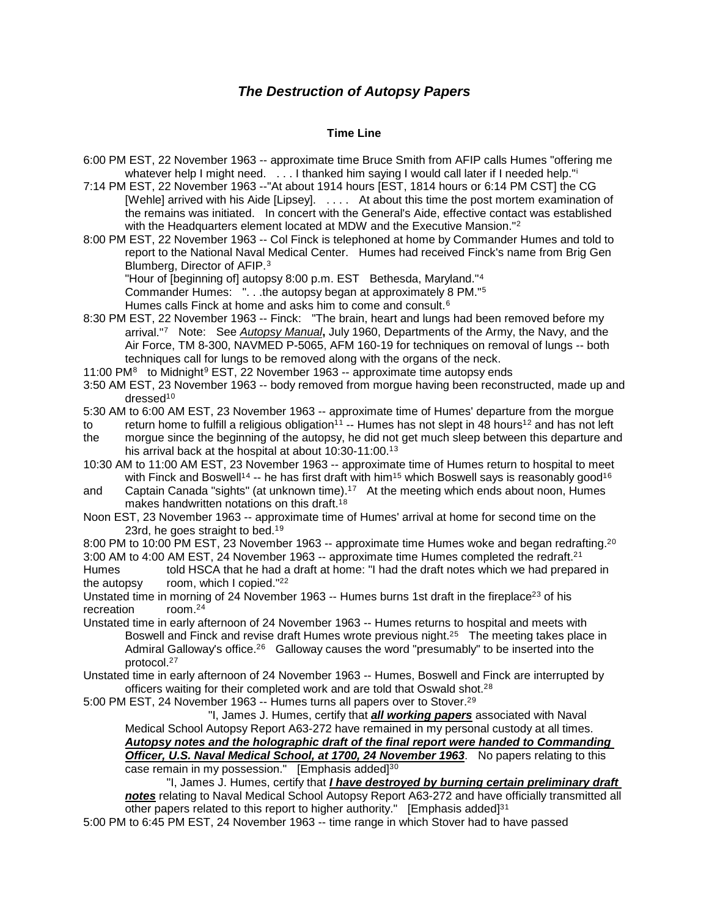# *The Destruction of Autopsy Papers*

# **Time Line**

- 6:00 PM EST, 22 November 1963 -- approximate time Bruce Smith from AFIP calls Humes "offering me whatever help I m[i](#page-7-0)ght need. . . . I thanked him saying I would call later if I needed help."
- 7:14 PM EST, 22 November 1963 --"At about 1914 hours [EST, 1814 hours or 6:14 PM CST] the CG [Wehle] arrived with his Aide [Lipsey]. . . . . At about this time the post mortem examination of the remains was initiated. In concert with the General's Aide, effective contact was established with the Headquarters element located at MDW and the Executive Mansion."<sup>[2](#page-7-1)</sup>
- 8:00 PM EST, 22 November 1963 -- Col Finck is telephoned at home by Commander Humes and told to report to the National Naval Medical Center. Humes had received Finck's name from Brig Gen Blumberg, Director of AFIP.[3](#page-7-2)

"Hour of [beginning of] autopsy 8:00 p.m. EST Bethesda, Maryland."[4](#page-7-3)

Commander Humes: ". . .the autopsy began at approximately 8 PM."[5](#page-7-4)

Humes calls Finck at home and asks him to come and consult.<sup>[6](#page-7-5)</sup>

8:30 PM EST, 22 November 1963 -- Finck: "The brain, heart and lungs had been removed before my arrival."[7](#page-7-6) Note: See *Autopsy Manual***,** July 1960, Departments of the Army, the Navy, and the Air Force, TM 8-300, NAVMED P-5065, AFM 160-19 for techniques on removal of lungs -- both techniques call for lungs to be removed along with the organs of the neck.

11:00 PM<sup>8</sup> to Midnight<sup>[9](#page-7-8)</sup> EST, 22 November 1963 -- approximate time autopsy ends

- 3:50 AM EST, 23 November 1963 -- body removed from morgue having been reconstructed, made up and dressed1[0](#page-7-9)
- 5:30 AM to 6:00 AM EST, 23 November 1963 -- approximate time of Humes' departure from the morgue

to return home to fulfill a religious obligation<sup>[1](#page-7-10)1</sup> -- Humes has not slept in 48 hours<sup>1[2](#page-7-11)</sup> and has not left<br>the morque since the beginning of the autopsy, he did not get much sleep between this departure and

- morgue since the beginning of the autopsy, he did not get much sleep between this departure and his arrival back at the hospital at about 10:[3](#page-7-12)0-11:00.<sup>13</sup>
- 10:30 AM to 11:00 AM EST, 23 November 1963 -- approximate time of Humes return to hospital to meet with Finck and Boswell<sup>1[4](#page-7-13)</sup> -- he has first draft with him<sup>1[5](#page-7-14)</sup> which Boswell says is reasonably good<sup>1[6](#page-7-15)</sup>
- and Captain Canada "sights" (at unknown time).<sup>1[7](#page-7-16)</sup> At the meeting which ends about noon, Humes makes handwritten notations on this draft.1[8](#page-7-17)
- Noon EST, 23 November 1963 -- approximate time of Humes' arrival at home for second time on the 23rd, he goes straight to bed.<sup>1[9](#page-7-18)</sup>

8:[0](#page-7-19)0 PM to 10:00 PM EST, 23 November 1963 -- approximate time Humes woke and began redrafting.<sup>20</sup> 3:00 AM to 4:00 AM EST, 24 November [1](#page-7-20)963 -- approximate time Humes completed the redraft.<sup>21</sup><br>Humes told HSCA that he had a draft at home: "I had the draft notes which we had prepar

- told HSCA that he had a draft at home: "I had the draft notes which we had prepared in the autopsy room, which I copied."<sup>[2](#page-7-21)2</sup>
- Unstated time in morning of 24 November 196[3](#page-7-22) -- Humes burns 1st draft in the fireplace<sup>23</sup> of his recreation room.2[4](#page-7-23)
- Unstated time in early afternoon of 24 November 1963 -- Humes returns to hospital and meets with Boswell and Finck and revise draft Humes wrote previous night.<sup>2[5](#page-7-24)</sup> The meeting takes place in Admiral Galloway's office.<sup>2[6](#page-7-25)</sup> Galloway causes the word "presumably" to be inserted into the protocol.2[7](#page-7-26)

Unstated time in early afternoon of 24 November 1963 -- Humes, Boswell and Finck are interrupted by officers waiting for their completed work and are told that Oswald shot.<sup>2[8](#page-7-27)</sup>

5:00 PM EST, 24 November 1[9](#page-7-28)63 -- Humes turns all papers over to Stover.<sup>29</sup>

 "I, James J. Humes, certify that *all working papers* associated with Naval Medical School Autopsy Report A63-272 have remained in my personal custody at all times. *Autopsy notes and the holographic draft of the final report were handed to Commanding Officer, U.S. Naval Medical School, at 1700, 24 November 1963*. No papers relating to this case remain in my possession." [Emphasis added]<sup>3[0](#page-7-29)</sup>

 "I, James J. Humes, certify that *I have destroyed by burning certain preliminary draft notes* relating to Naval Medical School Autopsy Report A63-272 and have officially transmitted all other papers related to this report to higher authority." [Emphasis added] $31$ 

5:00 PM to 6:45 PM EST, 24 November 1963 -- time range in which Stover had to have passed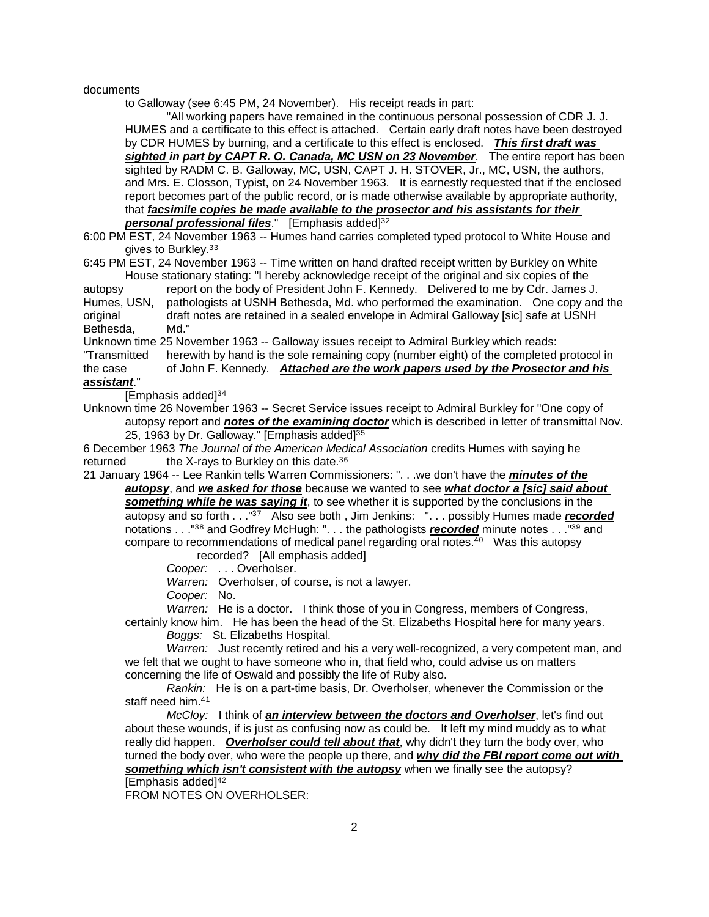#### documents

to Galloway (see 6:45 PM, 24 November). His receipt reads in part:

"All working papers have remained in the continuous personal possession of CDR J. J. HUMES and a certificate to this effect is attached. Certain early draft notes have been destroyed by CDR HUMES by burning, and a certificate to this effect is enclosed. *This first draft was sighted in part by CAPT R. O. Canada, MC USN on 23 November*. The entire report has been sighted by RADM C. B. Galloway, MC, USN, CAPT J. H. STOVER, Jr., MC, USN, the authors, and Mrs. E. Closson, Typist, on 24 November 1963. It is earnestly requested that if the enclosed report becomes part of the public record, or is made otherwise available by appropriate authority, that *facsimile copies be made available to the prosector and his assistants for their* 

**personal professional files**." [Emphasis added]<sup>3[2](#page-8-0)</sup>

6:00 PM EST, 24 November 1963 -- Humes hand carries completed typed protocol to White House and gives to Burkley.<sup>[3](#page-8-1)3</sup>

6:45 PM EST, 24 November 1963 -- Time written on hand drafted receipt written by Burkley on White House stationary stating: "I hereby acknowledge receipt of the original and six copies of the

autopsy report on the body of President John F. Kennedy. Delivered to me by Cdr. James J. Humes, USN, pathologists at USNH Bethesda, Md. who performed the examination. One copy and the original distribution of the original state at USNH draft notes are retained in a sealed envelope in Admiral Galloway [sic] safe at USNH<br>Md." Bethesda,

Unknown time 25 November 1963 -- Galloway issues receipt to Admiral Burkley which reads:

"Transmitted herewith by hand is the sole remaining copy (number eight) of the completed protocol in the case of John F. Kennedy. *Attached are the work papers used by the Prosector and his assistant*."

[Emphasis added]3[4](#page-8-2)

Unknown time 26 November 1963 -- Secret Service issues receipt to Admiral Burkley for "One copy of autopsy report and *notes of the examining doctor* which is described in letter of transmittal Nov. 2[5](#page-8-3), 1963 by Dr. Galloway." [Emphasis added]<sup>35</sup>

6 December 1963 *The Journal of the American Medical Association* credits Humes with saying he returned the X-rays to Burkley on this date. $36$  $36$ 

21 January 1964 -- Lee Rankin tells Warren Commissioners: ". . .we don't have the *minutes of the autopsy*, and *we asked for those* because we wanted to see *what doctor a [sic] said about* 

*something while he was saying it*, to see whether it is supported by the conclusions in the autopsy and so forth . . .<sup>"37</sup> Also see both, Jim Jenkins: ". . . possibly Humes made *recorded* notations . . ."3[8](#page-8-6) and Godfrey McHugh: ". . . the pathologists *recorded* minute notes . . ."3[9](#page-8-7) and compare to recommendations of medical panel regarding oral notes.<sup>4[0](#page-8-8)</sup> Was this autopsy recorded? [All emphasis added]

*Cooper:* . . . Overholser.

*Warren:* Overholser, of course, is not a lawyer.

*Cooper:* No.

*Warren:* He is a doctor. I think those of you in Congress, members of Congress,

certainly know him. He has been the head of the St. Elizabeths Hospital here for many years. *Boggs:* St. Elizabeths Hospital.

*Warren:* Just recently retired and his a very well-recognized, a very competent man, and we felt that we ought to have someone who in, that field who, could advise us on matters concerning the life of Oswald and possibly the life of Ruby also.

*Rankin:* He is on a part-time basis, Dr. Overholser, whenever the Commission or the staff need him.4[1](#page-8-9)

*McCloy:* I think of *an interview between the doctors and Overholser*, let's find out about these wounds, if is just as confusing now as could be. It left my mind muddy as to what really did happen. *Overholser could tell about that*, why didn't they turn the body over, who turned the body over, who were the people up there, and *why did the FBI report come out with something which isn't consistent with the autopsy* when we finally see the autopsy? [Emphasis added]4[2](#page-8-10)

FROM NOTES ON OVERHOLSER: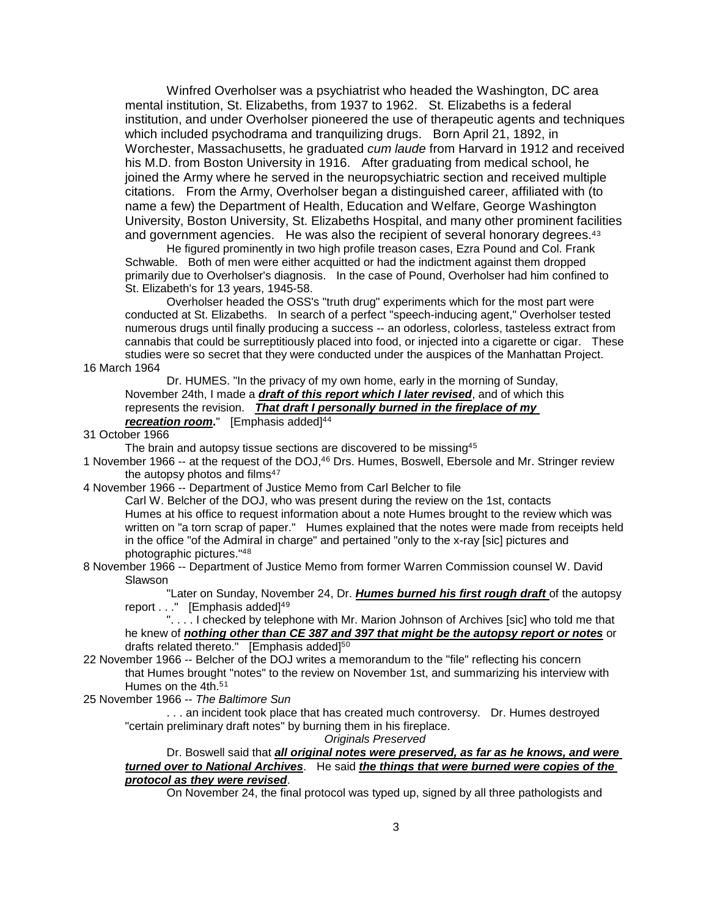Winfred Overholser was a psychiatrist who headed the Washington, DC area mental institution, St. Elizabeths, from 1937 to 1962. St. Elizabeths is a federal institution, and under Overholser pioneered the use of therapeutic agents and techniques which included psychodrama and tranquilizing drugs. Born April 21, 1892, in Worchester, Massachusetts, he graduated *cum laude* from Harvard in 1912 and received his M.D. from Boston University in 1916. After graduating from medical school, he joined the Army where he served in the neuropsychiatric section and received multiple citations. From the Army, Overholser began a distinguished career, affiliated with (to name a few) the Department of Health, Education and Welfare, George Washington University, Boston University, St. Elizabeths Hospital, and many other prominent facilities and government agencies. He was also the recipient of several honorary degrees.<sup>4[3](#page-9-0)</sup>

He figured prominently in two high profile treason cases, Ezra Pound and Col. Frank Schwable. Both of men were either acquitted or had the indictment against them dropped primarily due to Overholser's diagnosis. In the case of Pound, Overholser had him confined to St. Elizabeth's for 13 years, 1945-58.

Overholser headed the OSS's "truth drug" experiments which for the most part were conducted at St. Elizabeths. In search of a perfect "speech-inducing agent," Overholser tested numerous drugs until finally producing a success -- an odorless, colorless, tasteless extract from cannabis that could be surreptitiously placed into food, or injected into a cigarette or cigar. These studies were so secret that they were conducted under the auspices of the Manhattan Project.

16 March 1964

Dr. HUMES. "In the privacy of my own home, early in the morning of Sunday, November 24th, I made a *draft of this report which I later revised*, and of which this represents the revision. *That draft I personally burned in the fireplace of my recreation room.*" [Emphasis added]<sup>[4](#page-9-1)4</sup>

31 October 1966

The brain and autopsy tissue sections are discovered to be missing<sup>4[5](#page-9-2)</sup>

1 November 1966 -- at the request of the DOJ,4[6](#page-9-3) Drs. Humes, Boswell, Ebersole and Mr. Stringer review the autopsy photos and films $47$  $47$ 

4 November 1966 -- Department of Justice Memo from Carl Belcher to file

Carl W. Belcher of the DOJ, who was present during the review on the 1st, contacts Humes at his office to request information about a note Humes brought to the review which was written on "a torn scrap of paper." Humes explained that the notes were made from receipts held in the office "of the Admiral in charge" and pertained "only to the x-ray [sic] pictures and photographic pictures."[48](#page-9-5)

8 November 1966 -- Department of Justice Memo from former Warren Commission counsel W. David Slawson

"Later on Sunday, November 24, Dr. *Humes burned his first rough draft* of the autopsy report . . . " [Emphasis added]<sup>4[9](#page-9-6)</sup>

 ". . . . I checked by telephone with Mr. Marion Johnson of Archives [sic] who told me that he knew of *nothing other than CE 387 and 397 that might be the autopsy report or notes* or drafts related thereto." [Emphasis added]<sup>5[0](#page-9-7)</sup>

22 November 1966 -- Belcher of the DOJ writes a memorandum to the "file" reflecting his concern that Humes brought "notes" to the review on November 1st, and summarizing his interview with Humes on the 4th.5[1](#page-9-8)

25 November 1966 -- *The Baltimore Sun*

. . . an incident took place that has created much controversy. Dr. Humes destroyed "certain preliminary draft notes" by burning them in his fireplace.

*Originals Preserved*

Dr. Boswell said that *all original notes were preserved, as far as he knows, and were turned over to National Archives*. He said *the things that were burned were copies of the protocol as they were revised*.

On November 24, the final protocol was typed up, signed by all three pathologists and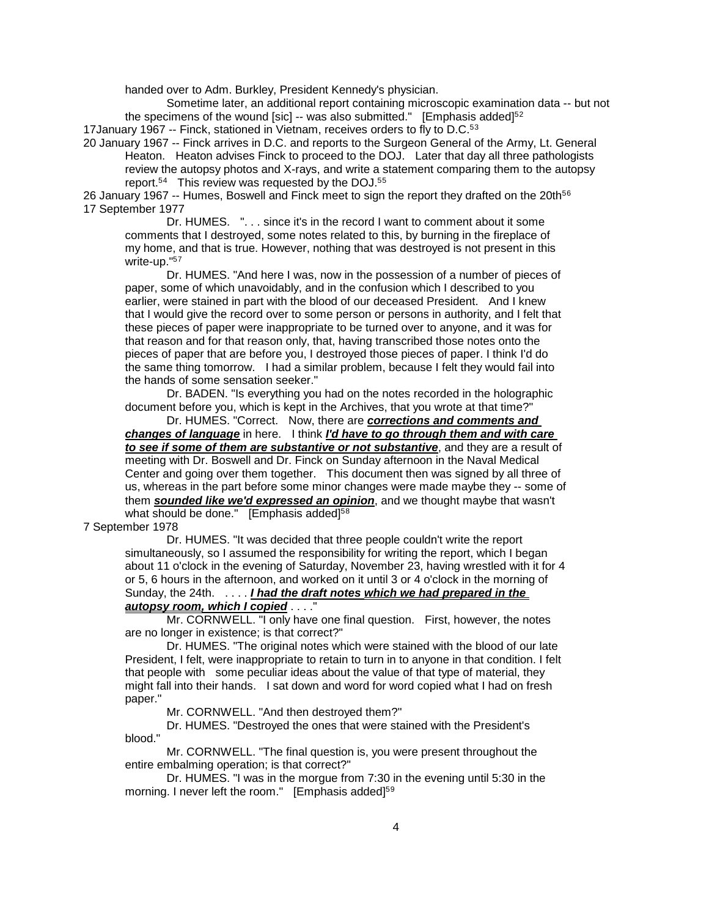handed over to Adm. Burkley, President Kennedy's physician.

Sometime later, an additional report containing microscopic examination data -- but not the specimens of the wound [sic]  $-$  was also submitted." [Emphasis added]<sup>5[2](#page-9-9)</sup>

17January 1967 -- Finck, stationed in Vietnam, receives orders to fly to D.C.5[3](#page-9-10)

20 January 1967 -- Finck arrives in D.C. and reports to the Surgeon General of the Army, Lt. General Heaton. Heaton advises Finck to proceed to the DOJ. Later that day all three pathologists review the autopsy photos and X-rays, and write a statement comparing them to the autopsy report.5[4](#page-9-11) This review was requested by the DOJ.5[5](#page-9-12)

2[6](#page-9-13) January 1967 -- Humes, Boswell and Finck meet to sign the report they drafted on the 20th<sup>56</sup> 17 September 1977

Dr. HUMES. ". . . since it's in the record I want to comment about it some comments that I destroyed, some notes related to this, by burning in the fireplace of my home, and that is true. However, nothing that was destroyed is not present in this write-up."5[7](#page-9-14)

Dr. HUMES. "And here I was, now in the possession of a number of pieces of paper, some of which unavoidably, and in the confusion which I described to you earlier, were stained in part with the blood of our deceased President. And I knew that I would give the record over to some person or persons in authority, and I felt that these pieces of paper were inappropriate to be turned over to anyone, and it was for that reason and for that reason only, that, having transcribed those notes onto the pieces of paper that are before you, I destroyed those pieces of paper. I think I'd do the same thing tomorrow. I had a similar problem, because I felt they would fail into the hands of some sensation seeker."

Dr. BADEN. "Is everything you had on the notes recorded in the holographic document before you, which is kept in the Archives, that you wrote at that time?"

Dr. HUMES. "Correct. Now, there are *corrections and comments and changes of language* in here. I think *I'd have to go through them and with care to see if some of them are substantive or not substantive*, and they are a result of meeting with Dr. Boswell and Dr. Finck on Sunday afternoon in the Naval Medical Center and going over them together. This document then was signed by all three of us, whereas in the part before some minor changes were made maybe they -- some of them *sounded like we'd expressed an opinion*, and we thought maybe that wasn't what should be done." [Emphasis added] $58$  $58$ 

7 September 1978

 Dr. HUMES. "It was decided that three people couldn't write the report simultaneously, so I assumed the responsibility for writing the report, which I began about 11 o'clock in the evening of Saturday, November 23, having wrestled with it for 4 or 5, 6 hours in the afternoon, and worked on it until 3 or 4 o'clock in the morning of Sunday, the 24th. . . . . *I had the draft notes which we had prepared in the autopsy room, which I copied* . . . ."

 Mr. CORNWELL. "I only have one final question. First, however, the notes are no longer in existence; is that correct?"

 Dr. HUMES. "The original notes which were stained with the blood of our late President, I felt, were inappropriate to retain to turn in to anyone in that condition. I felt that people with some peculiar ideas about the value of that type of material, they might fall into their hands. I sat down and word for word copied what I had on fresh paper."

Mr. CORNWELL. "And then destroyed them?"

 Dr. HUMES. "Destroyed the ones that were stained with the President's blood."

 Mr. CORNWELL. "The final question is, you were present throughout the entire embalming operation; is that correct?"

 Dr. HUMES. "I was in the morgue from 7:30 in the evening until 5:30 in the morning. I never left the room." [Emphasis added]<sup>5[9](#page-9-16)</sup>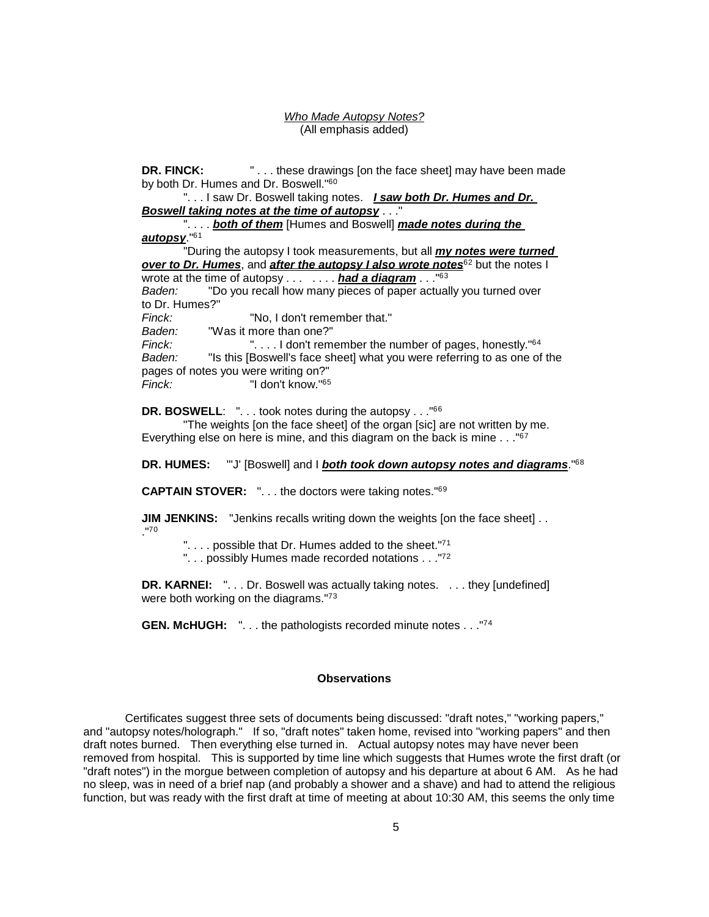*Who Made Autopsy Notes?* (All emphasis added)

**DR. FINCK:** FINCK: FINCK: These drawings [on the face sheet] may have been made by both Dr. Humes and Dr. Boswell."<sup>6[0](#page-9-17)</sup>

". . . I saw Dr. Boswell taking notes. *I saw both Dr. Humes and Dr. Boswell taking notes at the time of autopsy* . . ."

". . . . *both of them* [Humes and Boswell] *made notes during the autopsy*."6[1](#page-9-18)

"During the autopsy I took measurements, but all *my notes were turned over to Dr. Humes, and after the autopsy I also wrote notes***<sup>6[2](#page-9-19)</sup> but the notes I** wrote at the time of autopsy . . . . . . . *had a diagram* . . ."6[3](#page-9-20) *Baden:* "Do you recall how many pieces of paper actually you turned over to Dr. Humes?" *Finck:* "No, I don't remember that." *Baden:* "Was it more than one?" *Fignal*: I don't remember the number of pages, honestly."<sup>6[4](#page-9-2)</sup> *Baden:* "Is this [Boswell's face sheet] what you were referring to as one of the pages of notes you were writing on?"<br>Finck: "I don't know."<sup>65</sup> *Finck:* "I don't know."6[5](#page-9-21)

**DR. BOSWELL:** "... took notes during the autopsy ..."<sup>66</sup>

"The weights [on the face sheet] of the organ [sic] are not written by me. Everything else on here is mine, and this diagram on the back is mine . . ."6[7](#page-9-4)

**DR. HUMES:** "'J' [Boswell] and I *both took down autopsy notes and diagrams*."6[8](#page-9-23)

**CAPTAIN STOVER:** ". . . the doctors were taking notes."6[9](#page-9-24)

**JIM JENKINS:** "Jenkins recalls writing down the weights [on the face sheet]... ."7[0](#page-9-25)

".... possible that Dr. Humes added to the sheet."<sup>7[1](#page-9-26)</sup>

". . . possibly Humes made recorded notations . . . "7[2](#page-9-27)"

**DR. KARNEI:** ". . . Dr. Boswell was actually taking notes. . . . they [undefined] were both working on the diagrams."7[3](#page-9-28)

**GEN. McHUGH:** ". . . the pathologists recorded minute notes . . ."7[4](#page-9-29)

### **Observations**

Certificates suggest three sets of documents being discussed: "draft notes," "working papers," and "autopsy notes/holograph." If so, "draft notes" taken home, revised into "working papers" and then draft notes burned. Then everything else turned in. Actual autopsy notes may have never been removed from hospital. This is supported by time line which suggests that Humes wrote the first draft (or "draft notes") in the morgue between completion of autopsy and his departure at about 6 AM. As he had no sleep, was in need of a brief nap (and probably a shower and a shave) and had to attend the religious function, but was ready with the first draft at time of meeting at about 10:30 AM, this seems the only time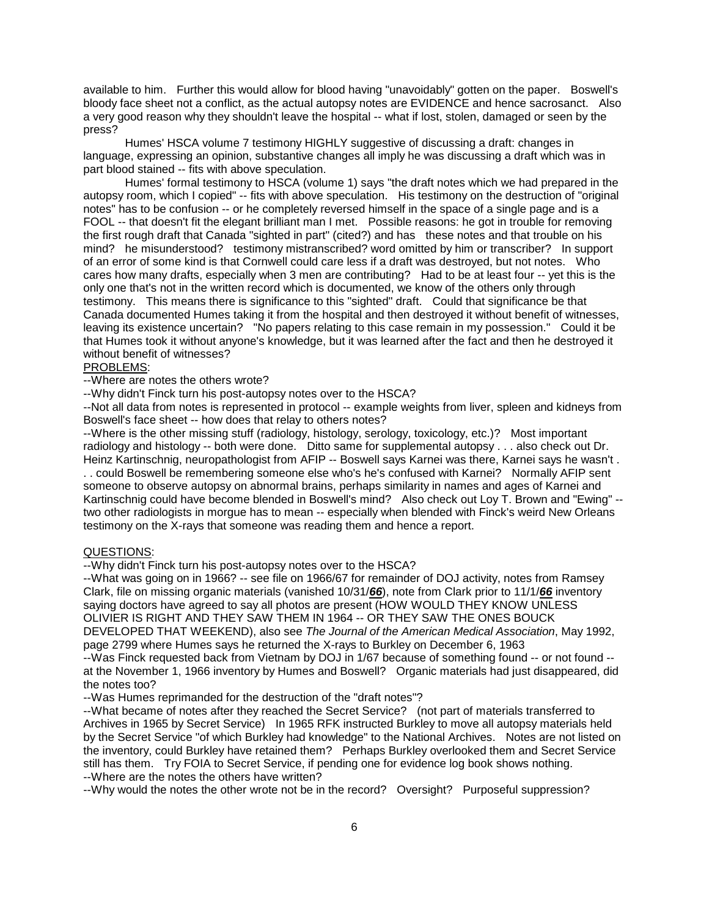available to him. Further this would allow for blood having "unavoidably" gotten on the paper. Boswell's bloody face sheet not a conflict, as the actual autopsy notes are EVIDENCE and hence sacrosanct. Also a very good reason why they shouldn't leave the hospital -- what if lost, stolen, damaged or seen by the press?

Humes' HSCA volume 7 testimony HIGHLY suggestive of discussing a draft: changes in language, expressing an opinion, substantive changes all imply he was discussing a draft which was in part blood stained -- fits with above speculation.

Humes' formal testimony to HSCA (volume 1) says "the draft notes which we had prepared in the autopsy room, which I copied" -- fits with above speculation. His testimony on the destruction of "original notes" has to be confusion -- or he completely reversed himself in the space of a single page and is a FOOL -- that doesn't fit the elegant brilliant man I met. Possible reasons: he got in trouble for removing the first rough draft that Canada "sighted in part" (cited?) and has these notes and that trouble on his mind? he misunderstood? testimony mistranscribed? word omitted by him or transcriber? In support of an error of some kind is that Cornwell could care less if a draft was destroyed, but not notes. Who cares how many drafts, especially when 3 men are contributing? Had to be at least four -- yet this is the only one that's not in the written record which is documented, we know of the others only through testimony. This means there is significance to this "sighted" draft. Could that significance be that Canada documented Humes taking it from the hospital and then destroyed it without benefit of witnesses, leaving its existence uncertain? "No papers relating to this case remain in my possession." Could it be that Humes took it without anyone's knowledge, but it was learned after the fact and then he destroyed it without benefit of witnesses?

## PROBLEMS:

--Where are notes the others wrote?

--Why didn't Finck turn his post-autopsy notes over to the HSCA?

--Not all data from notes is represented in protocol -- example weights from liver, spleen and kidneys from Boswell's face sheet -- how does that relay to others notes?

--Where is the other missing stuff (radiology, histology, serology, toxicology, etc.)? Most important radiology and histology -- both were done. Ditto same for supplemental autopsy . . . also check out Dr. Heinz Kartinschnig, neuropathologist from AFIP -- Boswell says Karnei was there, Karnei says he wasn't . . . could Boswell be remembering someone else who's he's confused with Karnei? Normally AFIP sent someone to observe autopsy on abnormal brains, perhaps similarity in names and ages of Karnei and Kartinschnig could have become blended in Boswell's mind? Also check out Loy T. Brown and "Ewing" - two other radiologists in morgue has to mean -- especially when blended with Finck's weird New Orleans testimony on the X-rays that someone was reading them and hence a report.

#### QUESTIONS:

--Why didn't Finck turn his post-autopsy notes over to the HSCA?

--What was going on in 1966? -- see file on 1966/67 for remainder of DOJ activity, notes from Ramsey Clark, file on missing organic materials (vanished 10/31/*66*), note from Clark prior to 11/1/*66* inventory saying doctors have agreed to say all photos are present (HOW WOULD THEY KNOW UNLESS OLIVIER IS RIGHT AND THEY SAW THEM IN 1964 -- OR THEY SAW THE ONES BOUCK DEVELOPED THAT WEEKEND), also see *The Journal of the American Medical Association*, May 1992, page 2799 where Humes says he returned the X-rays to Burkley on December 6, 1963

--Was Finck requested back from Vietnam by DOJ in 1/67 because of something found -- or not found - at the November 1, 1966 inventory by Humes and Boswell? Organic materials had just disappeared, did the notes too?

--Was Humes reprimanded for the destruction of the "draft notes"?

--What became of notes after they reached the Secret Service? (not part of materials transferred to Archives in 1965 by Secret Service) In 1965 RFK instructed Burkley to move all autopsy materials held by the Secret Service "of which Burkley had knowledge" to the National Archives. Notes are not listed on the inventory, could Burkley have retained them? Perhaps Burkley overlooked them and Secret Service still has them. Try FOIA to Secret Service, if pending one for evidence log book shows nothing. --Where are the notes the others have written?

--Why would the notes the other wrote not be in the record? Oversight? Purposeful suppression?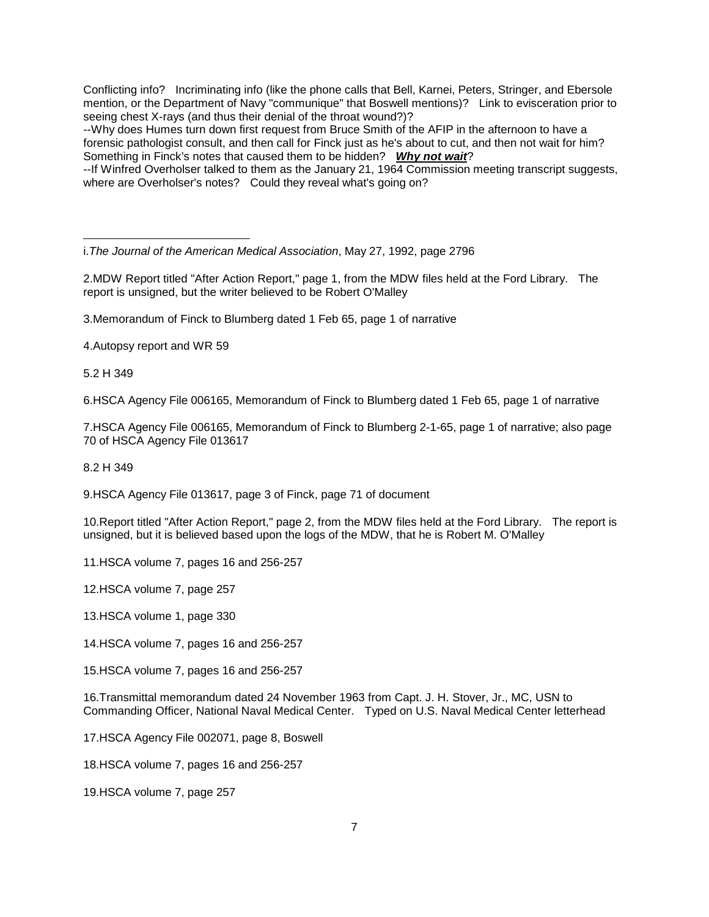Conflicting info? Incriminating info (like the phone calls that Bell, Karnei, Peters, Stringer, and Ebersole mention, or the Department of Navy "communique" that Boswell mentions)? Link to evisceration prior to seeing chest X-rays (and thus their denial of the throat wound?)?

--Why does Humes turn down first request from Bruce Smith of the AFIP in the afternoon to have a forensic pathologist consult, and then call for Finck just as he's about to cut, and then not wait for him? Something in Finck's notes that caused them to be hidden? *Why not wait*?

--If Winfred Overholser talked to them as the January 21, 1964 Commission meeting transcript suggests, where are Overholser's notes? Could they reveal what's going on?

i.*The Journal of the American Medical Association*, May 27, 1992, page 2796

2.MDW Report titled "After Action Report," page 1, from the MDW files held at the Ford Library. The report is unsigned, but the writer believed to be Robert O'Malley

3.Memorandum of Finck to Blumberg dated 1 Feb 65, page 1 of narrative

4.Autopsy report and WR 59

5.2 H 349

6.HSCA Agency File 006165, Memorandum of Finck to Blumberg dated 1 Feb 65, page 1 of narrative

7.HSCA Agency File 006165, Memorandum of Finck to Blumberg 2-1-65, page 1 of narrative; also page 70 of HSCA Agency File 013617

8.2 H 349

9.HSCA Agency File 013617, page 3 of Finck, page 71 of document

10.Report titled "After Action Report," page 2, from the MDW files held at the Ford Library. The report is unsigned, but it is believed based upon the logs of the MDW, that he is Robert M. O'Malley

11.HSCA volume 7, pages 16 and 256-257

12.HSCA volume 7, page 257

13.HSCA volume 1, page 330

14.HSCA volume 7, pages 16 and 256-257

15.HSCA volume 7, pages 16 and 256-257

16.Transmittal memorandum dated 24 November 1963 from Capt. J. H. Stover, Jr., MC, USN to Commanding Officer, National Naval Medical Center. Typed on U.S. Naval Medical Center letterhead

17.HSCA Agency File 002071, page 8, Boswell

18.HSCA volume 7, pages 16 and 256-257

19.HSCA volume 7, page 257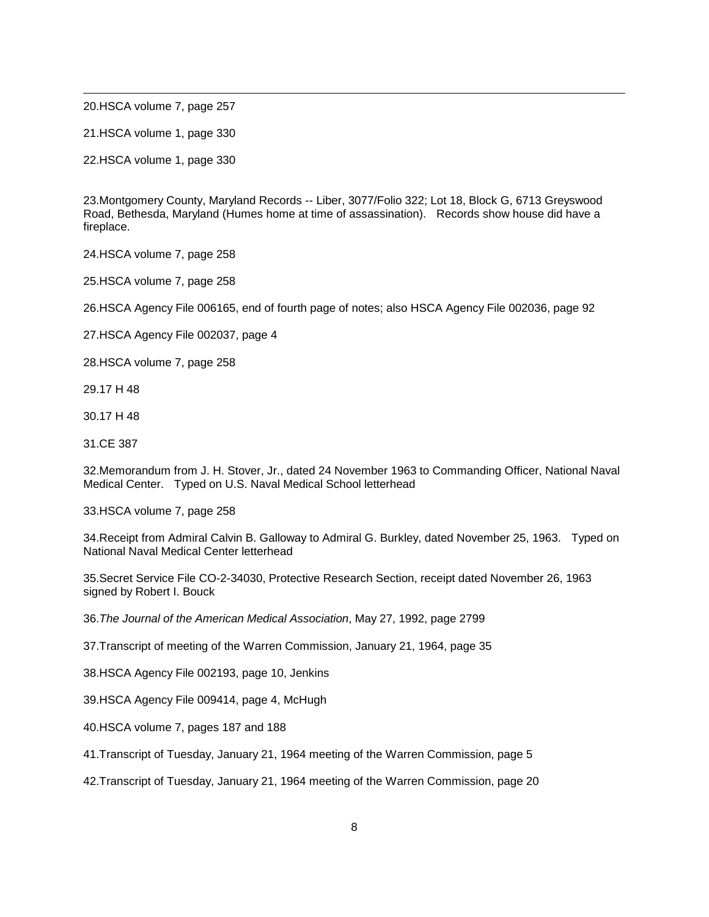<span id="page-7-19"></span>20.HSCA volume 7, page 257

<span id="page-7-20"></span>21.HSCA volume 1, page 330

<span id="page-7-21"></span>22.HSCA volume 1, page 330

<span id="page-7-22"></span>23.Montgomery County, Maryland Records -- Liber, 3077/Folio 322; Lot 18, Block G, 6713 Greyswood Road, Bethesda, Maryland (Humes home at time of assassination). Records show house did have a fireplace.

<span id="page-7-23"></span><span id="page-7-1"></span><span id="page-7-0"></span>24.HSCA volume 7, page 258

<span id="page-7-24"></span>25.HSCA volume 7, page 258

<span id="page-7-25"></span><span id="page-7-2"></span>26.HSCA Agency File 006165, end of fourth page of notes; also HSCA Agency File 002036, page 92

<span id="page-7-26"></span><span id="page-7-3"></span>27.HSCA Agency File 002037, page 4

<span id="page-7-27"></span><span id="page-7-4"></span>28.HSCA volume 7, page 258

<span id="page-7-28"></span><span id="page-7-5"></span>29.17 H 48

<span id="page-7-29"></span><span id="page-7-6"></span>30.17 H 48

<span id="page-7-30"></span><span id="page-7-7"></span>31.CE 387

<span id="page-7-8"></span>32.Memorandum from J. H. Stover, Jr., dated 24 November 1963 to Commanding Officer, National Naval Medical Center. Typed on U.S. Naval Medical School letterhead

<span id="page-7-9"></span>33.HSCA volume 7, page 258

<span id="page-7-10"></span>34.Receipt from Admiral Calvin B. Galloway to Admiral G. Burkley, dated November 25, 1963. Typed on National Naval Medical Center letterhead

<span id="page-7-11"></span>35.Secret Service File CO-2-34030, Protective Research Section, receipt dated November 26, 1963 signed by Robert I. Bouck

<span id="page-7-13"></span><span id="page-7-12"></span>36.*The Journal of the American Medical Association*, May 27, 1992, page 2799

<span id="page-7-14"></span>37.Transcript of meeting of the Warren Commission, January 21, 1964, page 35

<span id="page-7-15"></span>38.HSCA Agency File 002193, page 10, Jenkins

39.HSCA Agency File 009414, page 4, McHugh

<span id="page-7-16"></span>40.HSCA volume 7, pages 187 and 188

<span id="page-7-17"></span>41.Transcript of Tuesday, January 21, 1964 meeting of the Warren Commission, page 5

<span id="page-7-18"></span>42.Transcript of Tuesday, January 21, 1964 meeting of the Warren Commission, page 20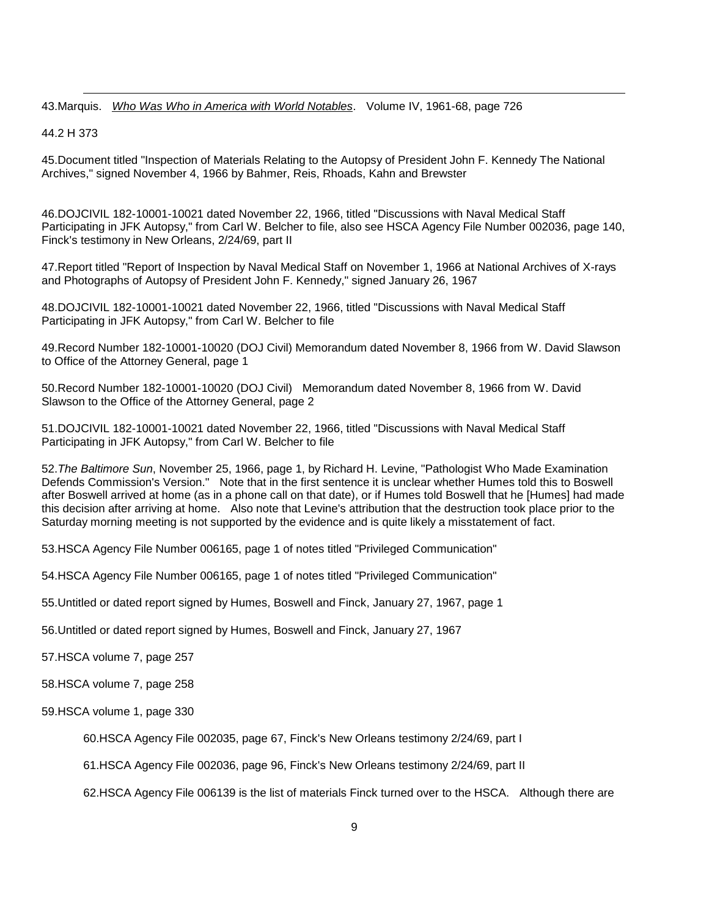43.Marquis. *Who Was Who in America with World Notables*. Volume IV, 1961-68, page 726

44.2 H 373

45.Document titled "Inspection of Materials Relating to the Autopsy of President John F. Kennedy The National Archives," signed November 4, 1966 by Bahmer, Reis, Rhoads, Kahn and Brewster

46.DOJCIVIL 182-10001-10021 dated November 22, 1966, titled "Discussions with Naval Medical Staff Participating in JFK Autopsy," from Carl W. Belcher to file, also see HSCA Agency File Number 002036, page 140, Finck's testimony in New Orleans, 2/24/69, part II

47.Report titled "Report of Inspection by Naval Medical Staff on November 1, 1966 at National Archives of X-rays and Photographs of Autopsy of President John F. Kennedy," signed January 26, 1967

48.DOJCIVIL 182-10001-10021 dated November 22, 1966, titled "Discussions with Naval Medical Staff Participating in JFK Autopsy," from Carl W. Belcher to file

49.Record Number 182-10001-10020 (DOJ Civil) Memorandum dated November 8, 1966 from W. David Slawson to Office of the Attorney General, page 1

50.Record Number 182-10001-10020 (DOJ Civil) Memorandum dated November 8, 1966 from W. David Slawson to the Office of the Attorney General, page 2

51.DOJCIVIL 182-10001-10021 dated November 22, 1966, titled "Discussions with Naval Medical Staff Participating in JFK Autopsy," from Carl W. Belcher to file

<span id="page-8-0"></span>52.*The Baltimore Sun*, November 25, 1966, page 1, by Richard H. Levine, "Pathologist Who Made Examination Defends Commission's Version." Note that in the first sentence it is unclear whether Humes told this to Boswell after Boswell arrived at home (as in a phone call on that date), or if Humes told Boswell that he [Humes] had made this decision after arriving at home. Also note that Levine's attribution that the destruction took place prior to the Saturday morning meeting is not supported by the evidence and is quite likely a misstatement of fact.

<span id="page-8-2"></span><span id="page-8-1"></span>53.HSCA Agency File Number 006165, page 1 of notes titled "Privileged Communication"

<span id="page-8-3"></span>54.HSCA Agency File Number 006165, page 1 of notes titled "Privileged Communication"

55.Untitled or dated report signed by Humes, Boswell and Finck, January 27, 1967, page 1

<span id="page-8-4"></span>56.Untitled or dated report signed by Humes, Boswell and Finck, January 27, 1967

<span id="page-8-5"></span>57.HSCA volume 7, page 257

<span id="page-8-6"></span>58.HSCA volume 7, page 258

<span id="page-8-10"></span><span id="page-8-9"></span><span id="page-8-8"></span><span id="page-8-7"></span>59.HSCA volume 1, page 330

60.HSCA Agency File 002035, page 67, Finck's New Orleans testimony 2/24/69, part I

61.HSCA Agency File 002036, page 96, Finck's New Orleans testimony 2/24/69, part II

62.HSCA Agency File 006139 is the list of materials Finck turned over to the HSCA. Although there are